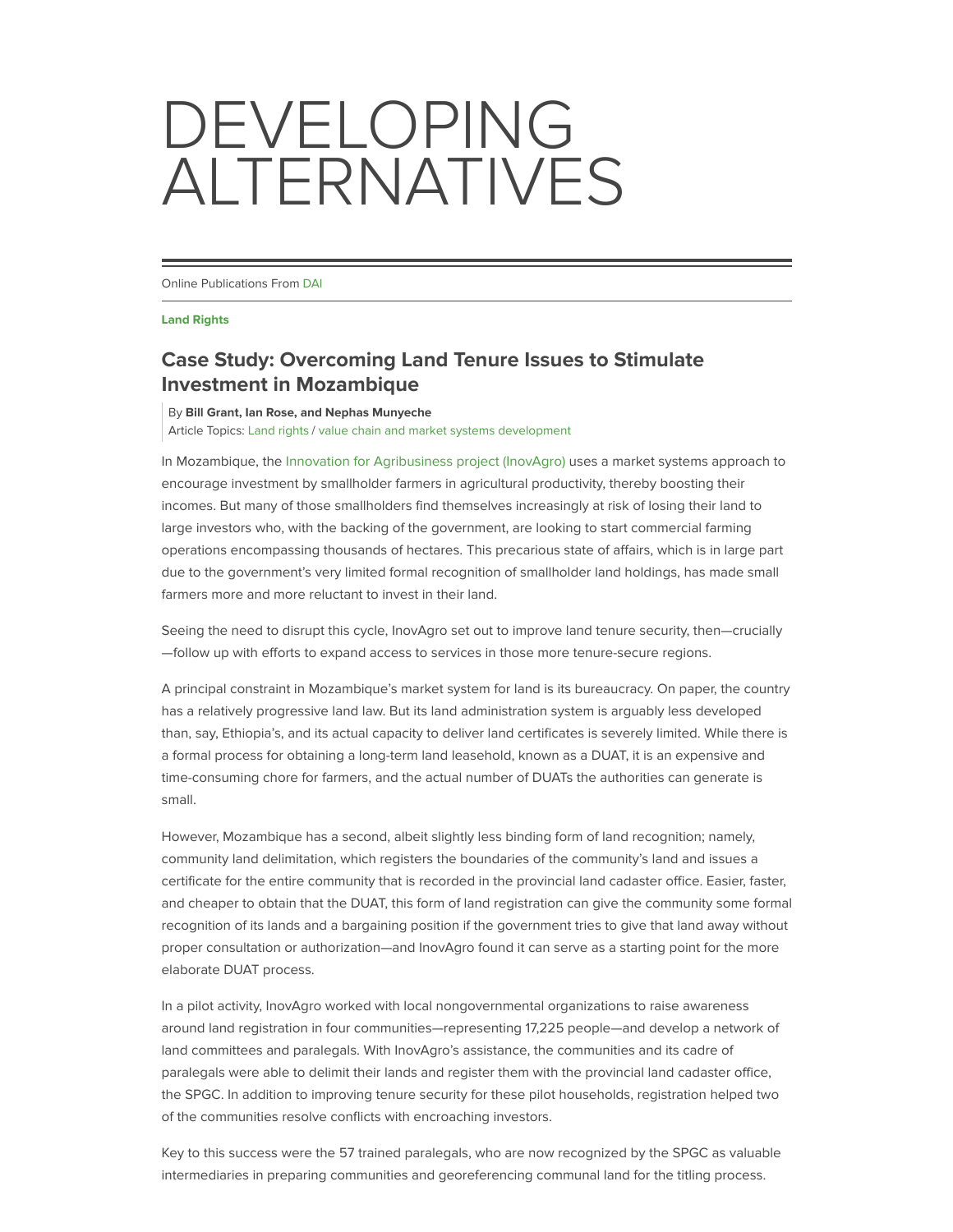## DEVELOPING ALTERNATIVES

Online Publications From DAI

**Land Rights**

## **Case Study: Overcoming Land Tenure Issues to Stimulate Investment in Mozambique**

By Bill Grant, Ian Rose, and Nephas Munyeche

Article Topics: Land rights / value chain and market systems development

In Mozambique, the Innovation for Agribusiness project (InovAgro) uses a market systems approach to encourage investment by smallholder farmers in agricultural productivity, thereby boosting their incomes. But many of those smallholders find themselves increasingly at risk of losing their land to large investors who, with the backing of the government, are looking to start commercial farming operations encompassing thousands of hectares. This precarious state of affairs, which is in large part due to the government's very limited formal recognition of smallholder land holdings, has made small farmers more and more reluctant to invest in their land.

Seeing the need to disrupt this cycle, InovAgro set out to improve land tenure security, then—crucially —follow up with efforts to expand access to services in those more tenure-secure regions.

A principal constraint in Mozambique's market system for land is its bureaucracy. On paper, the country has a relatively progressive land law. But its land administration system is arguably less developed than, say, Ethiopia's, and its actual capacity to deliver land certificates is severely limited. While there is a formal process for obtaining a long-term land leasehold, known as a DUAT, it is an expensive and time-consuming chore for farmers, and the actual number of DUATs the authorities can generate is small.

However, Mozambique has a second, albeit slightly less binding form of land recognition; namely, community land delimitation, which registers the boundaries of the community's land and issues a certificate for the entire community that is recorded in the provincial land cadaster office. Easier, faster, and cheaper to obtain that the DUAT, this form of land registration can give the community some formal recognition of its lands and a bargaining position if the government tries to give that land away without proper consultation or authorization—and InovAgro found it can serve as a starting point for the more elaborate DUAT process.

In a pilot activity, InovAgro worked with local nongovernmental organizations to raise awareness around land registration in four communities—representing 17,225 people—and develop a network of land committees and paralegals. With InovAgro's assistance, the communities and its cadre of paralegals were able to delimit their lands and register them with the provincial land cadaster office, the SPGC. In addition to improving tenure security for these pilot households, registration helped two of the communities resolve conflicts with encroaching investors.

Key to this success were the 57 trained paralegals, who are now recognized by the SPGC as valuable intermediaries in preparing communities and georeferencing communal land for the titling process.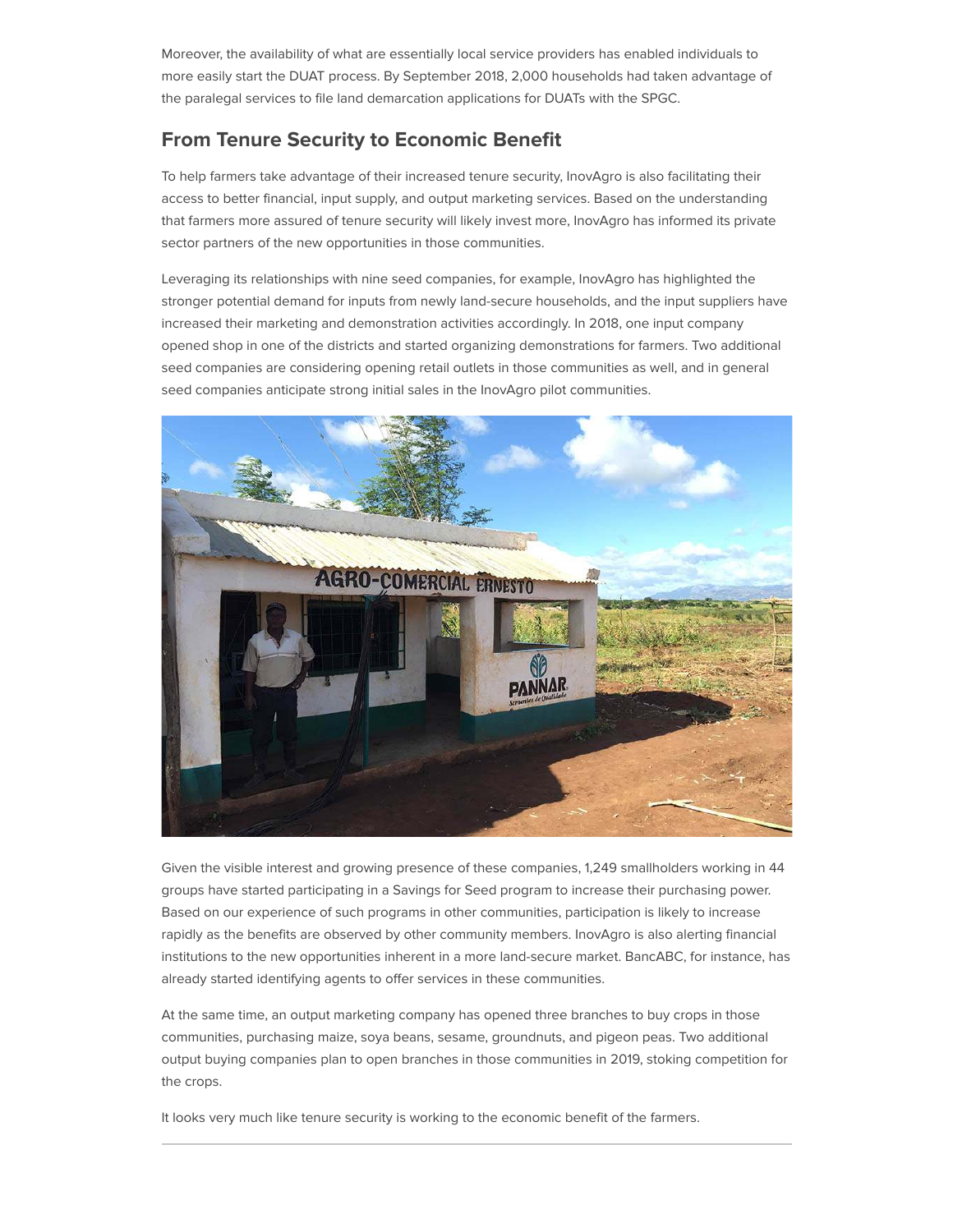Moreover, the availability of what are essentially local service providers has enabled individuals to more easily start the DUAT process. By September 2018, 2,000 households had taken advantage of the paralegal services to file land demarcation applications for DUATs with the SPGC.

## **From Tenure Security to Economic Benefit**

To help farmers take advantage of their increased tenure security, InovAgro is also facilitating their access to better financial, input supply, and output marketing services. Based on the understanding that farmers more assured of tenure security will likely invest more, InovAgro has informed its private sector partners of the new opportunities in those communities.

Leveraging its relationships with nine seed companies, for example, InovAgro has highlighted the stronger potential demand for inputs from newly land-secure households, and the input suppliers have increased their marketing and demonstration activities accordingly. In 2018, one input company opened shop in one of the districts and started organizing demonstrations for farmers. Two additional seed companies are considering opening retail outlets in those communities as well, and in general seed companies anticipate strong initial sales in the InovAgro pilot communities.



Given the visible interest and growing presence of these companies, 1,249 smallholders working in 44 groups have started participating in a Savings for Seed program to increase their purchasing power. Based on our experience of such programs in other communities, participation is likely to increase rapidly as the benefits are observed by other community members. InovAgro is also alerting financial institutions to the new opportunities inherent in a more land-secure market. BancABC, for instance, has already started identifying agents to offer services in these communities.

At the same time, an output marketing company has opened three branches to buy crops in those communities, purchasing maize, soya beans, sesame, groundnuts, and pigeon peas. Two additional output buying companies plan to open branches in those communities in 2019, stoking competition for the crops.

It looks very much like tenure security is working to the economic benefit of the farmers.